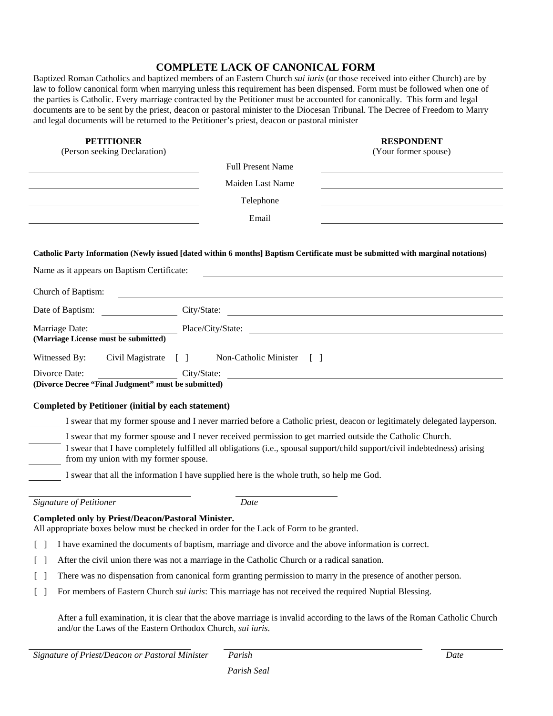## **COMPLETE LACK OF CANONICAL FORM**

Baptized Roman Catholics and baptized members of an Eastern Church *sui iuris* (or those received into either Church) are by law to follow canonical form when marrying unless this requirement has been dispensed. Form must be followed when one of the parties is Catholic. Every marriage contracted by the Petitioner must be accounted for canonically. This form and legal documents are to be sent by the priest, deacon or pastoral minister to the Diocesan Tribunal. The Decree of Freedom to Marry and legal documents will be returned to the Petitioner's priest, deacon or pastoral minister

| <b>PETITIONER</b><br>(Person seeking Declaration)          |                                                                                                           | <b>RESPONDENT</b><br>(Your former spouse)                                                                                       |
|------------------------------------------------------------|-----------------------------------------------------------------------------------------------------------|---------------------------------------------------------------------------------------------------------------------------------|
|                                                            | <b>Full Present Name</b>                                                                                  |                                                                                                                                 |
|                                                            | Maiden Last Name                                                                                          |                                                                                                                                 |
|                                                            | Telephone                                                                                                 |                                                                                                                                 |
|                                                            |                                                                                                           |                                                                                                                                 |
|                                                            | Email                                                                                                     |                                                                                                                                 |
|                                                            |                                                                                                           | Catholic Party Information (Newly issued [dated within 6 months] Baptism Certificate must be submitted with marginal notations) |
|                                                            |                                                                                                           |                                                                                                                                 |
| Name as it appears on Baptism Certificate:                 |                                                                                                           |                                                                                                                                 |
| Church of Baptism:                                         |                                                                                                           |                                                                                                                                 |
| Date of Baptism:                                           |                                                                                                           | City/State:                                                                                                                     |
| Marriage Date:                                             |                                                                                                           | Place/City/State:                                                                                                               |
| (Marriage License must be submitted)                       |                                                                                                           |                                                                                                                                 |
| Witnessed By:<br>Civil Magistrate                          | Non-Catholic Minister [ ]<br>$\Box$                                                                       |                                                                                                                                 |
| Divorce Date:                                              | City/State:                                                                                               |                                                                                                                                 |
| (Divorce Decree "Final Judgment" must be submitted)        |                                                                                                           |                                                                                                                                 |
| <b>Completed by Petitioner (initial by each statement)</b> |                                                                                                           |                                                                                                                                 |
|                                                            |                                                                                                           | I swear that my former spouse and I never married before a Catholic priest, deacon or legitimately delegated layperson.         |
|                                                            | I swear that my former spouse and I never received permission to get married outside the Catholic Church. |                                                                                                                                 |
| from my union with my former spouse.                       |                                                                                                           | I swear that I have completely fulfilled all obligations (i.e., spousal support/child support/civil indebtedness) arising       |
|                                                            | I swear that all the information I have supplied here is the whole truth, so help me God.                 |                                                                                                                                 |
|                                                            |                                                                                                           |                                                                                                                                 |
| <b>Signature of Petitioner</b>                             | Date                                                                                                      |                                                                                                                                 |
| Completed only by Priest/Deacon/Pastoral Minister.         | All appropriate boxes below must be checked in order for the Lack of Form to be granted.                  |                                                                                                                                 |
| $[\ ]$                                                     | I have examined the documents of baptism, marriage and divorce and the above information is correct.      |                                                                                                                                 |
| $[\ ]$                                                     | After the civil union there was not a marriage in the Catholic Church or a radical sanation.              |                                                                                                                                 |
| $[\ ]$                                                     |                                                                                                           | There was no dispensation from canonical form granting permission to marry in the presence of another person.                   |
| $[\ ]$                                                     | For members of Eastern Church sui iuris: This marriage has not received the required Nuptial Blessing.    |                                                                                                                                 |
|                                                            |                                                                                                           |                                                                                                                                 |
| and/or the Laws of the Eastern Orthodox Church, sui iuris. |                                                                                                           | After a full examination, it is clear that the above marriage is invalid according to the laws of the Roman Catholic Church     |